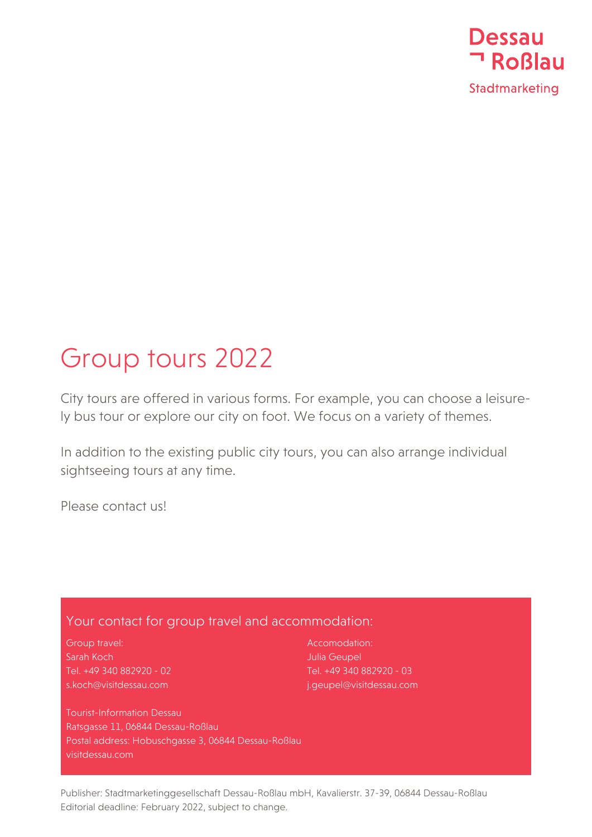

## Group tours 2022

City tours are offered in various forms. For example, you can choose a leisurely bus tour or explore our city on foot. We focus on a variety of themes.

In addition to the existing public city tours, you can also arrange individual sightseeing tours at any time.

Please contact us!

## Your contact for group travel and accommodation:

Group travel: Sarah Koch Tel. +49 340 882920 - 02 s.koch@visitdessau.com

Accomodation: Julia Geupel Tel. +49 340 882920 - 03 j.geupel@visitdessau.com

Tourist-Information Dessau Ratsgasse 11, 06844 Dessau-Roßlau Postal address: Hobuschgasse 3, 06844 Dessau-Roßlau visitdessau.com

Publisher: Stadtmarketinggesellschaft Dessau-Roßlau mbH, Kavalierstr. 37-39, 06844 Dessau-Roßlau Editorial deadline: February 2022, subject to change.